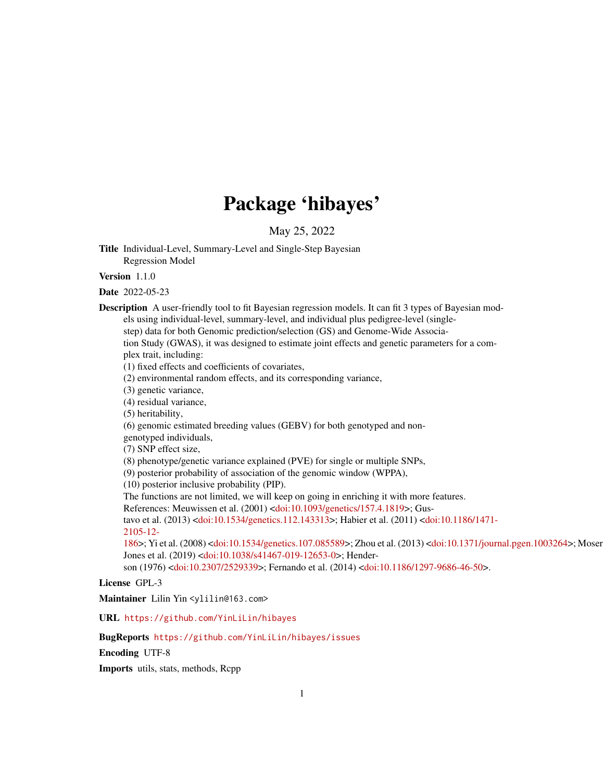## Package 'hibayes'

May 25, 2022

Title Individual-Level, Summary-Level and Single-Step Bayesian Regression Model

Version 1.1.0

Date 2022-05-23

Description A user-friendly tool to fit Bayesian regression models. It can fit 3 types of Bayesian models using individual-level, summary-level, and individual plus pedigree-level (single-

step) data for both Genomic prediction/selection (GS) and Genome-Wide Associa-

tion Study (GWAS), it was designed to estimate joint effects and genetic parameters for a complex trait, including:

(1) fixed effects and coefficients of covariates,

(2) environmental random effects, and its corresponding variance,

(3) genetic variance,

(4) residual variance,

(5) heritability,

(6) genomic estimated breeding values (GEBV) for both genotyped and non-

genotyped individuals,

(7) SNP effect size,

(8) phenotype/genetic variance explained (PVE) for single or multiple SNPs,

(9) posterior probability of association of the genomic window (WPPA),

(10) posterior inclusive probability (PIP).

The functions are not limited, we will keep on going in enriching it with more features.

References: Meuwissen et al. (2001) [<doi:10.1093/genetics/157.4.1819>](https://doi.org/10.1093/genetics/157.4.1819); Gus-

tavo et al. (2013) [<doi:10.1534/genetics.112.143313>](https://doi.org/10.1534/genetics.112.143313); Habier et al. (2011) [<doi:10.1186/1471-](https://doi.org/10.1186/1471-2105-12-186) [2105-12-](https://doi.org/10.1186/1471-2105-12-186)

[186>](https://doi.org/10.1186/1471-2105-12-186); Yi et al. (2008) [<doi:10.1534/genetics.107.085589>](https://doi.org/10.1534/genetics.107.085589); Zhou et al. (2013) [<doi:10.1371/journal.pgen.1003264>](https://doi.org/10.1371/journal.pgen.1003264); Moser Jones et al. (2019) [<doi:10.1038/s41467-019-12653-0>](https://doi.org/10.1038/s41467-019-12653-0); Hender-

son (1976) [<doi:10.2307/2529339>](https://doi.org/10.2307/2529339); Fernando et al. (2014) [<doi:10.1186/1297-9686-46-50>](https://doi.org/10.1186/1297-9686-46-50).

#### License GPL-3

Maintainer Lilin Yin <ylilin@163.com>

URL <https://github.com/YinLiLin/hibayes>

BugReports <https://github.com/YinLiLin/hibayes/issues>

Encoding UTF-8

Imports utils, stats, methods, Rcpp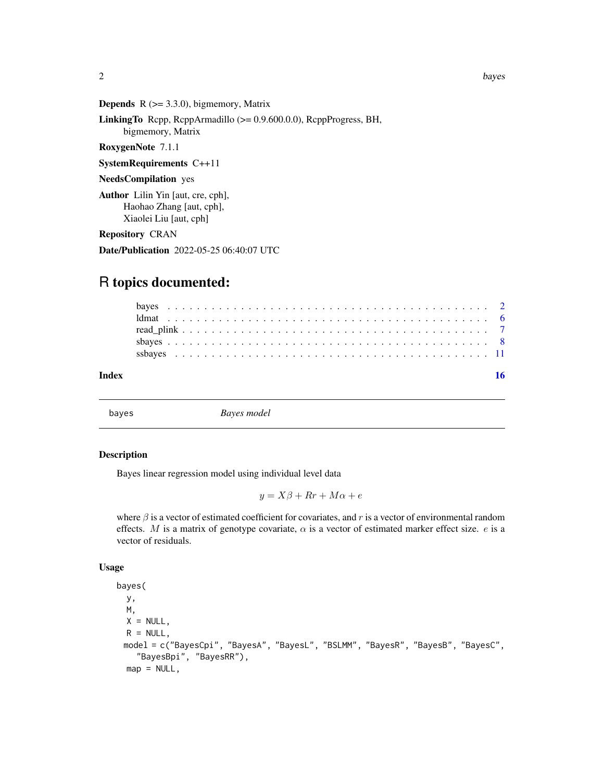$2 \t\t\t bayes$ 

```
Depends R (>= 3.3.0), bigmemory, Matrix
```
LinkingTo Rcpp, RcppArmadillo (>= 0.9.600.0.0), RcppProgress, BH, bigmemory, Matrix

RoxygenNote 7.1.1

SystemRequirements C++11

#### NeedsCompilation yes

Author Lilin Yin [aut, cre, cph], Haohao Zhang [aut, cph], Xiaolei Liu [aut, cph]

Repository CRAN

Date/Publication 2022-05-25 06:40:07 UTC

### R topics documented:

| Index |  |  |  |  |  |  |  |  |  |  |  |  |  |  |  |  |  |  |  |  |  |  |
|-------|--|--|--|--|--|--|--|--|--|--|--|--|--|--|--|--|--|--|--|--|--|--|
|       |  |  |  |  |  |  |  |  |  |  |  |  |  |  |  |  |  |  |  |  |  |  |
|       |  |  |  |  |  |  |  |  |  |  |  |  |  |  |  |  |  |  |  |  |  |  |
|       |  |  |  |  |  |  |  |  |  |  |  |  |  |  |  |  |  |  |  |  |  |  |
|       |  |  |  |  |  |  |  |  |  |  |  |  |  |  |  |  |  |  |  |  |  |  |
|       |  |  |  |  |  |  |  |  |  |  |  |  |  |  |  |  |  |  |  |  |  |  |

bayes *Bayes model*

#### Description

Bayes linear regression model using individual level data

$$
y = X\beta + Rr + M\alpha + e
$$

where  $\beta$  is a vector of estimated coefficient for covariates, and r is a vector of environmental random effects. M is a matrix of genotype covariate,  $\alpha$  is a vector of estimated marker effect size. *e* is a vector of residuals.

#### Usage

```
bayes(
 y,
 M,
 X = NULLR = NULL,
 model = c("BayesCpi", "BayesA", "BayesL", "BSLMM", "BayesR", "BayesB", "BayesC",
    "BayesBpi", "BayesRR"),
 map = NULL,
```
<span id="page-1-0"></span>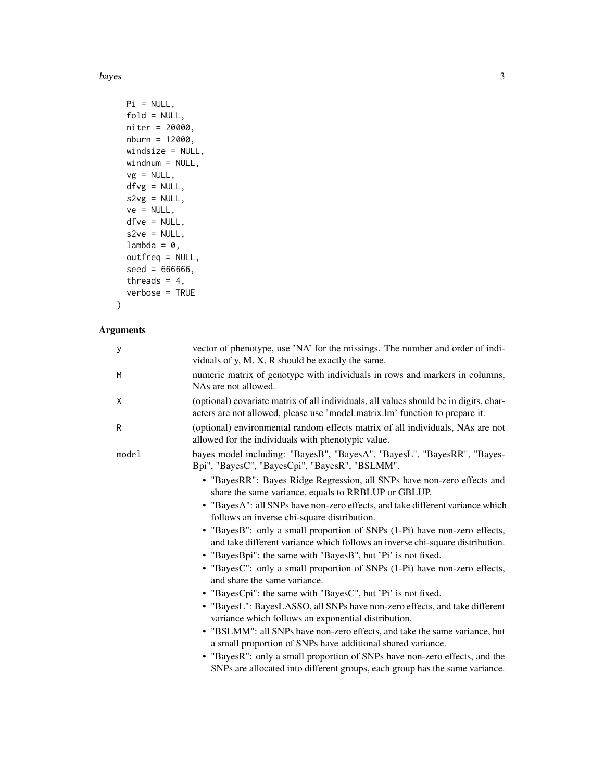bayes 3

```
Pi = NULL,fold = NULL,niter = 20000,
nburn = 12000,
windsize = NULL,
windnum = NULL,
vg = NULL,dfvg = NULL,
s2vg = NULL,ve = NULL,dfve = NULL,
s2ve = NULL,lambda = 0,
outfreq = NULL,
seed = 666666,threads = 4,
verbose = TRUE
```
#### Arguments

 $\mathcal{L}$ 

| у     | vector of phenotype, use 'NA' for the missings. The number and order of indi-<br>viduals of y, M, X, R should be exactly the same.                                    |
|-------|-----------------------------------------------------------------------------------------------------------------------------------------------------------------------|
| M     | numeric matrix of genotype with individuals in rows and markers in columns,<br>NAs are not allowed.                                                                   |
| X     | (optional) covariate matrix of all individuals, all values should be in digits, char-<br>acters are not allowed, please use 'model.matrix.lm' function to prepare it. |
| R     | (optional) environmental random effects matrix of all individuals, NAs are not<br>allowed for the individuals with phenotypic value.                                  |
| model | bayes model including: "BayesB", "BayesA", "BayesL", "BayesRR", "Bayes-<br>Bpi", "BayesC", "BayesCpi", "BayesR", "BSLMM".                                             |
|       | • "BayesRR": Bayes Ridge Regression, all SNPs have non-zero effects and<br>share the same variance, equals to RRBLUP or GBLUP.                                        |
|       | • "BayesA": all SNPs have non-zero effects, and take different variance which<br>follows an inverse chi-square distribution.                                          |
|       | • "BayesB": only a small proportion of SNPs (1-Pi) have non-zero effects,<br>and take different variance which follows an inverse chi-square distribution.            |
|       | • "BayesBpi": the same with "BayesB", but 'Pi' is not fixed.                                                                                                          |
|       | • "BayesC": only a small proportion of SNPs (1-Pi) have non-zero effects,<br>and share the same variance.                                                             |
|       | • "BayesCpi": the same with "BayesC", but 'Pi' is not fixed.                                                                                                          |
|       | • "BayesL": BayesLASSO, all SNPs have non-zero effects, and take different<br>variance which follows an exponential distribution.                                     |
|       | • "BSLMM": all SNPs have non-zero effects, and take the same variance, but<br>a small proportion of SNPs have additional shared variance.                             |
|       | • "BayesR": only a small proportion of SNPs have non-zero effects, and the<br>SNPs are allocated into different groups, each group has the same variance.             |
|       |                                                                                                                                                                       |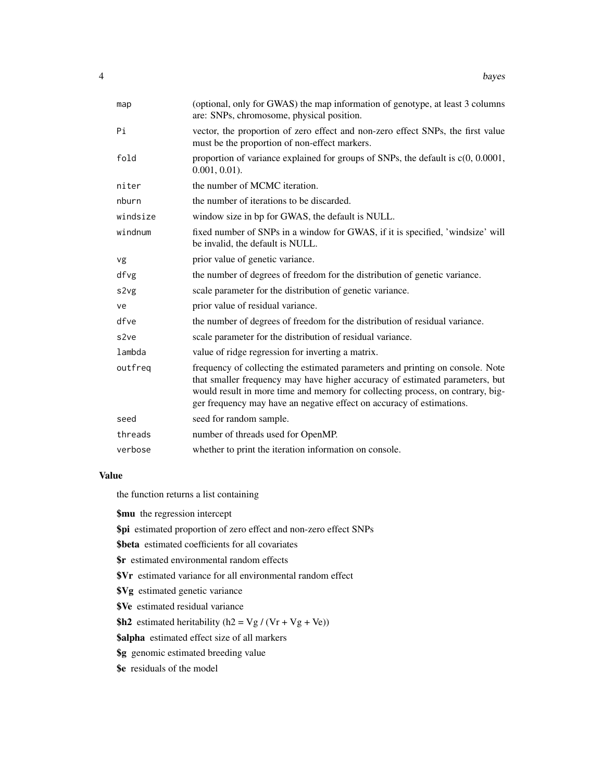| map      | (optional, only for GWAS) the map information of genotype, at least 3 columns<br>are: SNPs, chromosome, physical position.                                                                                                                                                                                                |
|----------|---------------------------------------------------------------------------------------------------------------------------------------------------------------------------------------------------------------------------------------------------------------------------------------------------------------------------|
| Рi       | vector, the proportion of zero effect and non-zero effect SNPs, the first value<br>must be the proportion of non-effect markers.                                                                                                                                                                                          |
| fold     | proportion of variance explained for groups of SNPs, the default is $c(0, 0.0001, 0.0001)$<br>$0.001, 0.01$ ).                                                                                                                                                                                                            |
| niter    | the number of MCMC iteration.                                                                                                                                                                                                                                                                                             |
| nburn    | the number of iterations to be discarded.                                                                                                                                                                                                                                                                                 |
| windsize | window size in bp for GWAS, the default is NULL.                                                                                                                                                                                                                                                                          |
| windnum  | fixed number of SNPs in a window for GWAS, if it is specified, 'windsize' will<br>be invalid, the default is NULL.                                                                                                                                                                                                        |
| vg       | prior value of genetic variance.                                                                                                                                                                                                                                                                                          |
| dfvg     | the number of degrees of freedom for the distribution of genetic variance.                                                                                                                                                                                                                                                |
| s2vg     | scale parameter for the distribution of genetic variance.                                                                                                                                                                                                                                                                 |
| ve       | prior value of residual variance.                                                                                                                                                                                                                                                                                         |
| dfve     | the number of degrees of freedom for the distribution of residual variance.                                                                                                                                                                                                                                               |
| s2ve     | scale parameter for the distribution of residual variance.                                                                                                                                                                                                                                                                |
| lambda   | value of ridge regression for inverting a matrix.                                                                                                                                                                                                                                                                         |
| outfreq  | frequency of collecting the estimated parameters and printing on console. Note<br>that smaller frequency may have higher accuracy of estimated parameters, but<br>would result in more time and memory for collecting process, on contrary, big-<br>ger frequency may have an negative effect on accuracy of estimations. |
| seed     | seed for random sample.                                                                                                                                                                                                                                                                                                   |
| threads  | number of threads used for OpenMP.                                                                                                                                                                                                                                                                                        |
| verbose  | whether to print the iteration information on console.                                                                                                                                                                                                                                                                    |

#### Value

the function returns a list containing

\$mu the regression intercept

\$pi estimated proportion of zero effect and non-zero effect SNPs

\$beta estimated coefficients for all covariates

\$r estimated environmental random effects

\$Vr estimated variance for all environmental random effect

\$Vg estimated genetic variance

\$Ve estimated residual variance

**\$h2** estimated heritability (h2 =  $Vg / (Vr + Vg + Ve)$ )

\$alpha estimated effect size of all markers

\$g genomic estimated breeding value

\$e residuals of the model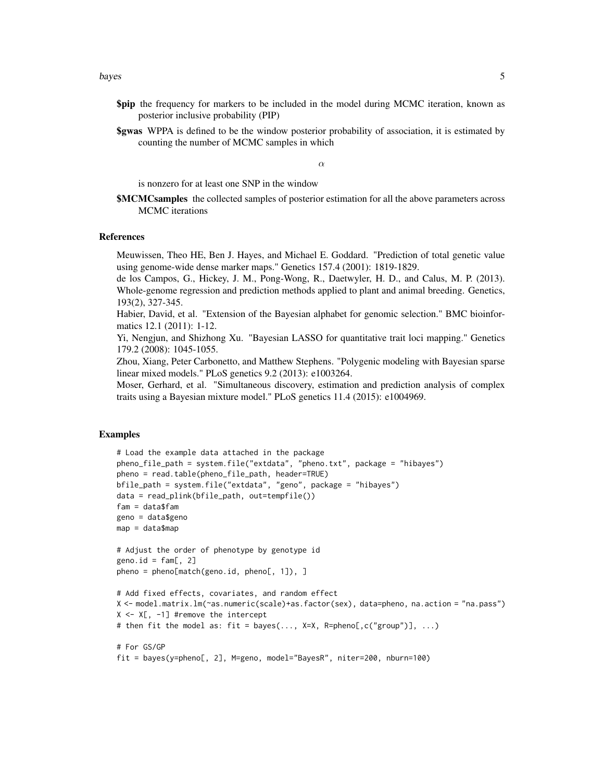bayes 5

- \$pip the frequency for markers to be included in the model during MCMC iteration, known as posterior inclusive probability (PIP)
- \$gwas WPPA is defined to be the window posterior probability of association, it is estimated by counting the number of MCMC samples in which

α

is nonzero for at least one SNP in the window

**\$MCMCsamples** the collected samples of posterior estimation for all the above parameters across MCMC iterations

#### References

Meuwissen, Theo HE, Ben J. Hayes, and Michael E. Goddard. "Prediction of total genetic value using genome-wide dense marker maps." Genetics 157.4 (2001): 1819-1829.

de los Campos, G., Hickey, J. M., Pong-Wong, R., Daetwyler, H. D., and Calus, M. P. (2013). Whole-genome regression and prediction methods applied to plant and animal breeding. Genetics, 193(2), 327-345.

Habier, David, et al. "Extension of the Bayesian alphabet for genomic selection." BMC bioinformatics 12.1 (2011): 1-12.

Yi, Nengjun, and Shizhong Xu. "Bayesian LASSO for quantitative trait loci mapping." Genetics 179.2 (2008): 1045-1055.

Zhou, Xiang, Peter Carbonetto, and Matthew Stephens. "Polygenic modeling with Bayesian sparse linear mixed models." PLoS genetics 9.2 (2013): e1003264.

Moser, Gerhard, et al. "Simultaneous discovery, estimation and prediction analysis of complex traits using a Bayesian mixture model." PLoS genetics 11.4 (2015): e1004969.

#### Examples

```
# Load the example data attached in the package
pheno_file_path = system.file("extdata", "pheno.txt", package = "hibayes")
pheno = read.table(pheno_file_path, header=TRUE)
bfile_path = system.file("extdata", "geno", package = "hibayes")
data = read_plink(bfile_path, out=tempfile())
fam = data$fam
geno = data$geno
map = data$map
# Adjust the order of phenotype by genotype id
geno.id = fam[, 2]pheno = pheno[match(geno.id, pheno[, 1]), ]
# Add fixed effects, covariates, and random effect
X <- model.matrix.lm(~as.numeric(scale)+as.factor(sex), data=pheno, na.action = "na.pass")
X \leq X[, -1] #remove the intercept
# then fit the model as: fit = bayes(..., X=X, R=pheno[,c("group")], ...)
# For GS/GP
fit = bayes(y=pheno[, 2], M=geno, model="BayesR", niter=200, nburn=100)
```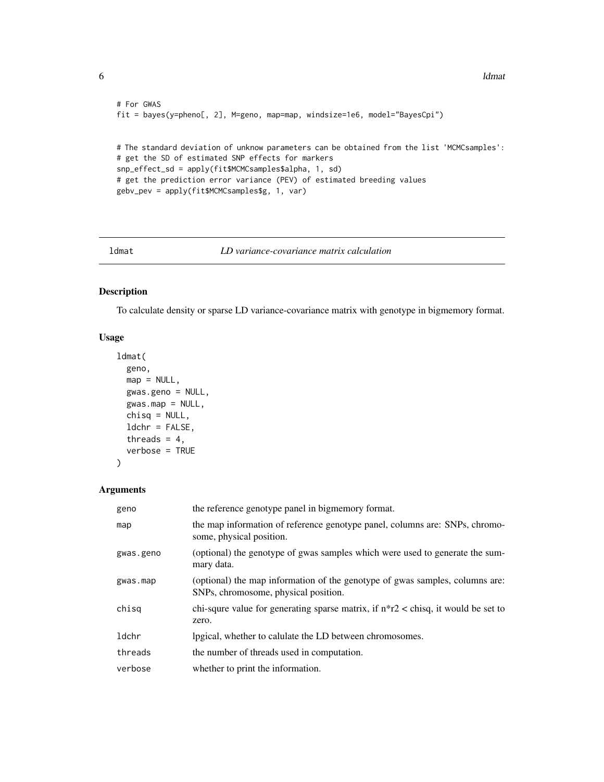```
6 6 ldmat
```

```
# For GWAS
fit = bayes(y=pheno[, 2], M=geno, map=map, windsize=1e6, model="BayesCpi")
# The standard deviation of unknow parameters can be obtained from the list 'MCMCsamples':
# get the SD of estimated SNP effects for markers
snp_effect_sd = apply(fit$MCMCsamples$alpha, 1, sd)
# get the prediction error variance (PEV) of estimated breeding values
gebv_pev = apply(fit$MCMCsamples$g, 1, var)
```
ldmat *LD variance-covariance matrix calculation*

#### Description

To calculate density or sparse LD variance-covariance matrix with genotype in bigmemory format.

#### Usage

```
ldmat(
  geno,
 map = NULL,gwas.geno = NULL,
 gwas.map = NULL,chisq = NULL,
 ldchr = FALSE,
 threads = 4,
  verbose = TRUE
)
```

| geno      | the reference genotype panel in bigmemory format.                                                                    |
|-----------|----------------------------------------------------------------------------------------------------------------------|
| map       | the map information of reference genotype panel, columns are: SNPs, chromo-<br>some, physical position.              |
| gwas.geno | (optional) the genotype of gwas samples which were used to generate the sum-<br>mary data.                           |
| gwas.map  | (optional) the map information of the genotype of gwas samples, columns are:<br>SNPs, chromosome, physical position. |
| chisg     | chi-squre value for generating sparse matrix, if $n * r2 <$ chisq, it would be set to<br>zero.                       |
| ldchr     | lpgical, whether to calulate the LD between chromosomes.                                                             |
| threads   | the number of threads used in computation.                                                                           |
| verbose   | whether to print the information.                                                                                    |

<span id="page-5-0"></span>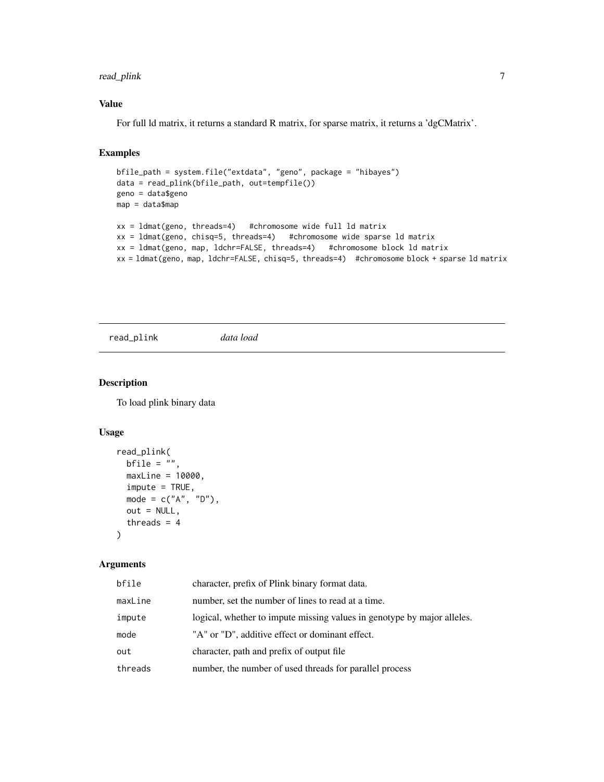#### <span id="page-6-0"></span>read\_plink 7

#### Value

For full ld matrix, it returns a standard R matrix, for sparse matrix, it returns a 'dgCMatrix'.

#### Examples

```
bfile_path = system.file("extdata", "geno", package = "hibayes")
data = read_plink(bfile_path, out=tempfile())
geno = data$geno
map = data$map
xx = ldmat(geno, threads=4) #chromosome wide full ld matrix
xx = ldmat(geno, chisq=5, threads=4) #chromosome wide sparse ld matrix
xx = ldmat(geno, map, ldchr=FALSE, threads=4) #chromosome block ld matrix
xx = ldmat(geno, map, ldchr=FALSE, chisq=5, threads=4) #chromosome block + sparse ld matrix
```
read\_plink *data load*

#### Description

To load plink binary data

#### Usage

```
read_plink(
  bfile = ",
  maxLine = 10000,
  \text{impute} = \text{TRUE},
  mode = c("A", "D"),
  out = NULL,threads = 4\mathcal{L}
```

| bfile   | character, prefix of Plink binary format data.                          |
|---------|-------------------------------------------------------------------------|
| maxLine | number, set the number of lines to read at a time.                      |
| impute  | logical, whether to impute missing values in genotype by major alleles. |
| mode    | "A" or "D", additive effect or dominant effect.                         |
| out     | character, path and prefix of output file                               |
| threads | number, the number of used threads for parallel process                 |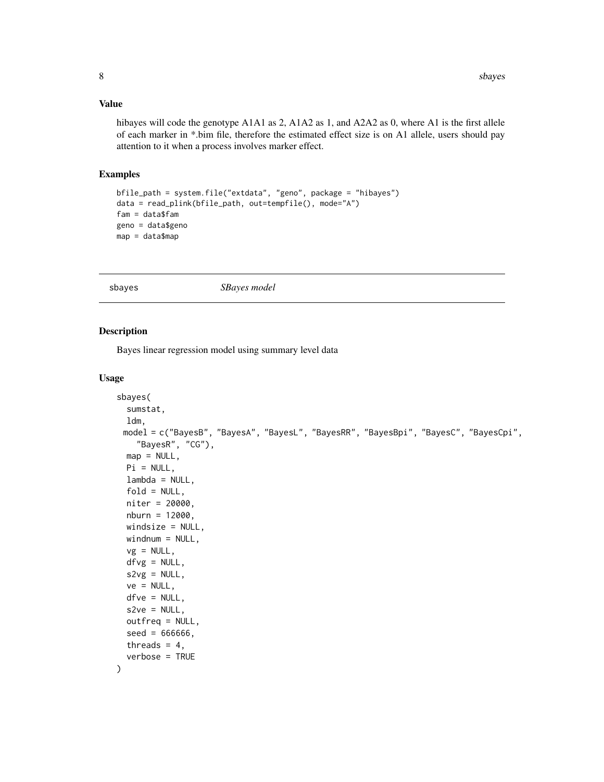#### <span id="page-7-0"></span>Value

hibayes will code the genotype A1A1 as 2, A1A2 as 1, and A2A2 as 0, where A1 is the first allele of each marker in \*.bim file, therefore the estimated effect size is on A1 allele, users should pay attention to it when a process involves marker effect.

#### Examples

```
bfile_path = system.file("extdata", "geno", package = "hibayes")
data = read_plink(bfile_path, out=tempfile(), mode="A")
fam = data$fam
geno = data$geno
map = data$map
```
sbayes *SBayes model*

#### Description

Bayes linear regression model using summary level data

#### Usage

```
sbayes(
  sumstat,
 ldm,
 model = c("BayesB", "BayesA", "BayesL", "BayesRR", "BayesBpi", "BayesC", "BayesCpi",
    "BayesR", "CG"),
 map = NULL,Pi = NULL,
  lambda = NULL,fold = NULL,niter = 20000,
 nburn = 12000,
 windsize = NULL,
 widthum = NULL,vg = NULL,dfvg = NULL,s2vg = NULL,ve = NULL,dfve = NULL,
  s2ve = NULL,
 outfreq = NULL,
  seed = 666666,
  threads = 4,
  verbose = TRUE
)
```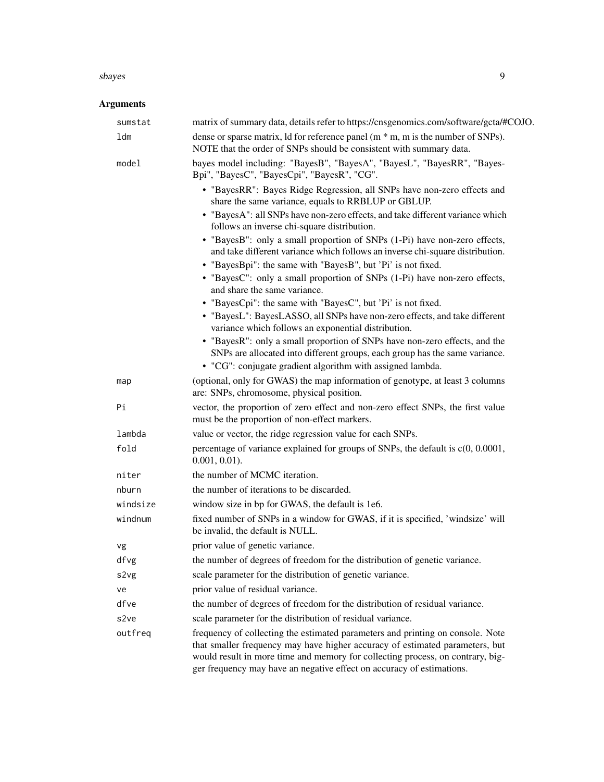#### sbayes 9

| sumstat  | matrix of summary data, details refer to https://cnsgenomics.com/software/gcta/#COJO.                                                                                                                                                                                                                                     |
|----------|---------------------------------------------------------------------------------------------------------------------------------------------------------------------------------------------------------------------------------------------------------------------------------------------------------------------------|
| ldm      | dense or sparse matrix, ld for reference panel (m $*$ m, m is the number of SNPs).<br>NOTE that the order of SNPs should be consistent with summary data.                                                                                                                                                                 |
| model    | bayes model including: "BayesB", "BayesA", "BayesL", "BayesRR", "Bayes-<br>Bpi", "BayesC", "BayesCpi", "BayesR", "CG".                                                                                                                                                                                                    |
|          | • "BayesRR": Bayes Ridge Regression, all SNPs have non-zero effects and<br>share the same variance, equals to RRBLUP or GBLUP.                                                                                                                                                                                            |
|          | • "BayesA": all SNPs have non-zero effects, and take different variance which<br>follows an inverse chi-square distribution.                                                                                                                                                                                              |
|          | • "BayesB": only a small proportion of SNPs (1-Pi) have non-zero effects,<br>and take different variance which follows an inverse chi-square distribution.                                                                                                                                                                |
|          | • "BayesBpi": the same with "BayesB", but 'Pi' is not fixed.                                                                                                                                                                                                                                                              |
|          | • "BayesC": only a small proportion of SNPs (1-Pi) have non-zero effects,<br>and share the same variance.                                                                                                                                                                                                                 |
|          | • "BayesCpi": the same with "BayesC", but 'Pi' is not fixed.                                                                                                                                                                                                                                                              |
|          | • "BayesL": BayesLASSO, all SNPs have non-zero effects, and take different<br>variance which follows an exponential distribution.                                                                                                                                                                                         |
|          | • "BayesR": only a small proportion of SNPs have non-zero effects, and the<br>SNPs are allocated into different groups, each group has the same variance.<br>• "CG": conjugate gradient algorithm with assigned lambda.                                                                                                   |
| map      | (optional, only for GWAS) the map information of genotype, at least 3 columns<br>are: SNPs, chromosome, physical position.                                                                                                                                                                                                |
| Рi       | vector, the proportion of zero effect and non-zero effect SNPs, the first value<br>must be the proportion of non-effect markers.                                                                                                                                                                                          |
| lambda   | value or vector, the ridge regression value for each SNPs.                                                                                                                                                                                                                                                                |
| fold     | percentage of variance explained for groups of SNPs, the default is $c(0, 0.0001, 0.0001)$<br>$0.001, 0.01$ ).                                                                                                                                                                                                            |
| niter    | the number of MCMC iteration.                                                                                                                                                                                                                                                                                             |
| nburn    | the number of iterations to be discarded.                                                                                                                                                                                                                                                                                 |
| windsize | window size in bp for GWAS, the default is 1e6.                                                                                                                                                                                                                                                                           |
| windnum  | fixed number of SNPs in a window for GWAS, if it is specified, 'windsize' will<br>be invalid, the default is NULL.                                                                                                                                                                                                        |
| vg       | prior value of genetic variance.                                                                                                                                                                                                                                                                                          |
| dfvg     | the number of degrees of freedom for the distribution of genetic variance.                                                                                                                                                                                                                                                |
| s2vg     | scale parameter for the distribution of genetic variance.                                                                                                                                                                                                                                                                 |
| ve       | prior value of residual variance.                                                                                                                                                                                                                                                                                         |
| dfve     | the number of degrees of freedom for the distribution of residual variance.                                                                                                                                                                                                                                               |
| s2ve     | scale parameter for the distribution of residual variance.                                                                                                                                                                                                                                                                |
| outfreq  | frequency of collecting the estimated parameters and printing on console. Note<br>that smaller frequency may have higher accuracy of estimated parameters, but<br>would result in more time and memory for collecting process, on contrary, big-<br>ger frequency may have an negative effect on accuracy of estimations. |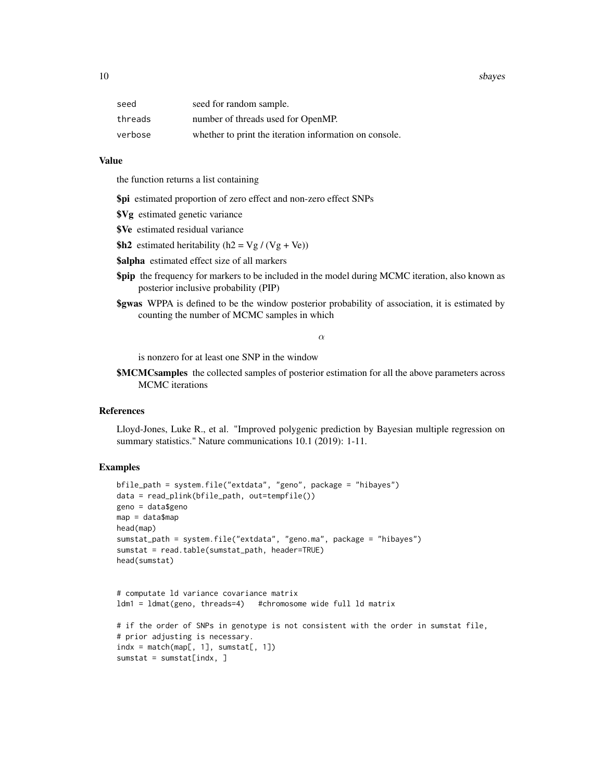#### 10 sbayes and the state of the state of the state state state state state state state state state state state state state state state state state state state state state state state state state state state state state stat

| seed    | seed for random sample.                                |
|---------|--------------------------------------------------------|
| threads | number of threads used for OpenMP.                     |
| verbose | whether to print the iteration information on console. |

#### Value

the function returns a list containing

\$pi estimated proportion of zero effect and non-zero effect SNPs

\$Vg estimated genetic variance

\$Ve estimated residual variance

\$h2 estimated heritability (h2 =  $Vg / (Vg + Ve)$ )

\$alpha estimated effect size of all markers

\$pip the frequency for markers to be included in the model during MCMC iteration, also known as posterior inclusive probability (PIP)

\$gwas WPPA is defined to be the window posterior probability of association, it is estimated by counting the number of MCMC samples in which

α

is nonzero for at least one SNP in the window

**\$MCMCsamples** the collected samples of posterior estimation for all the above parameters across MCMC iterations

#### References

Lloyd-Jones, Luke R., et al. "Improved polygenic prediction by Bayesian multiple regression on summary statistics." Nature communications 10.1 (2019): 1-11.

#### Examples

```
bfile_path = system.file("extdata", "geno", package = "hibayes")
data = read_plink(bfile_path, out=tempfile())
geno = data$geno
map = data$map
head(map)
sumstat_path = system.file("extdata", "geno.ma", package = "hibayes")
sumstat = read.table(sumstat_path, header=TRUE)
head(sumstat)
# computate ld variance covariance matrix
ldm1 = ldmat(geno, threads=4) #chromosome wide full ld matrix
# if the order of SNPs in genotype is not consistent with the order in sumstat file,
# prior adjusting is necessary.
\text{index} = \text{match}(\text{map}[, 1], \text{sumstat}[, 1])sumstat = sumstart[indx, ]
```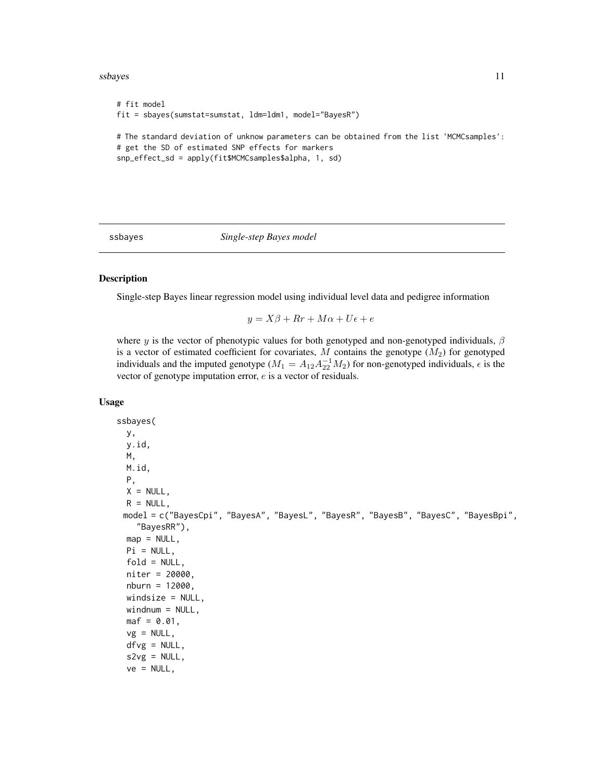#### <span id="page-10-0"></span> $\mathbf{s}$ sbayes  $\mathbf{s}$

```
# fit model
fit = sbayes(sumstat=sumstat, ldm=ldm1, model="BayesR")
# The standard deviation of unknow parameters can be obtained from the list 'MCMCsamples':
# get the SD of estimated SNP effects for markers
snp_effect_sd = apply(fit$MCMCsamples$alpha, 1, sd)
```
ssbayes *Single-step Bayes model*

#### Description

Single-step Bayes linear regression model using individual level data and pedigree information

$$
y = X\beta + Rr + M\alpha + U\epsilon + e
$$

where y is the vector of phenotypic values for both genotyped and non-genotyped individuals,  $\beta$ is a vector of estimated coefficient for covariates,  $M$  contains the genotype  $(M_2)$  for genotyped individuals and the imputed genotype ( $M_1 = A_{12} A_{22}^{-1} M_2$ ) for non-genotyped individuals,  $\epsilon$  is the vector of genotype imputation error, e is a vector of residuals.

#### Usage

```
ssbayes(
 y,
 y.id,
 M,
 M.id,
 P,
 X = NULL,R = NULL,model = c("BayesCpi", "BayesA", "BayesL", "BayesR", "BayesB", "BayesC", "BayesBpi",
    "BayesRR"),
 map = NULL,Pi = NULL,fold = NULL,niter = 20000,
  nburn = 12000,windsize = NULL,
 widthum = NULL,\text{maf} = 0.01,vg = NULL,
  dfvg = NULL,s2vg = NULL,ve = NULL,
```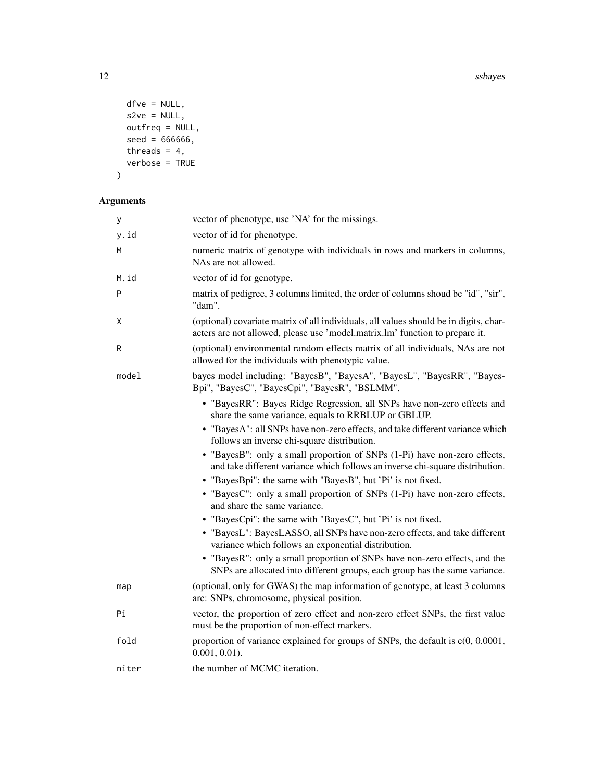12 ssbayes and the state of the state of the state of the state of the state of the state of the state of the state of the state of the state of the state of the state of the state of the state of the state of the state of

```
dfve = NULL,
 s2ve = NULL,outfreq = NULL,seed = 666666,threads = 4,
 verbose = TRUE
\mathcal{L}
```

| У     | vector of phenotype, use 'NA' for the missings.                                                                                                                       |
|-------|-----------------------------------------------------------------------------------------------------------------------------------------------------------------------|
| y.id  | vector of id for phenotype.                                                                                                                                           |
| M     | numeric matrix of genotype with individuals in rows and markers in columns,<br>NAs are not allowed.                                                                   |
| M.id  | vector of id for genotype.                                                                                                                                            |
| P     | matrix of pedigree, 3 columns limited, the order of columns shoud be "id", "sir",<br>"dam".                                                                           |
| X     | (optional) covariate matrix of all individuals, all values should be in digits, char-<br>acters are not allowed, please use 'model.matrix.lm' function to prepare it. |
| R     | (optional) environmental random effects matrix of all individuals, NAs are not<br>allowed for the individuals with phenotypic value.                                  |
| model | bayes model including: "BayesB", "BayesA", "BayesL", "BayesRR", "Bayes-<br>Bpi", "BayesC", "BayesCpi", "BayesR", "BSLMM".                                             |
|       | • "BayesRR": Bayes Ridge Regression, all SNPs have non-zero effects and<br>share the same variance, equals to RRBLUP or GBLUP.                                        |
|       | • "BayesA": all SNPs have non-zero effects, and take different variance which<br>follows an inverse chi-square distribution.                                          |
|       | • "BayesB": only a small proportion of SNPs (1-Pi) have non-zero effects,<br>and take different variance which follows an inverse chi-square distribution.            |
|       | • "BayesBpi": the same with "BayesB", but 'Pi' is not fixed.                                                                                                          |
|       | • "BayesC": only a small proportion of SNPs (1-Pi) have non-zero effects,<br>and share the same variance.                                                             |
|       | • "BayesCpi": the same with "BayesC", but 'Pi' is not fixed.                                                                                                          |
|       | • "BayesL": BayesLASSO, all SNPs have non-zero effects, and take different<br>variance which follows an exponential distribution.                                     |
|       | • "BayesR": only a small proportion of SNPs have non-zero effects, and the<br>SNPs are allocated into different groups, each group has the same variance.             |
| map   | (optional, only for GWAS) the map information of genotype, at least 3 columns<br>are: SNPs, chromosome, physical position.                                            |
| Рi    | vector, the proportion of zero effect and non-zero effect SNPs, the first value<br>must be the proportion of non-effect markers.                                      |
| fold  | proportion of variance explained for groups of SNPs, the default is $c(0, 0.0001, 0.0001)$<br>$0.001, 0.01$ ).                                                        |
| niter | the number of MCMC iteration.                                                                                                                                         |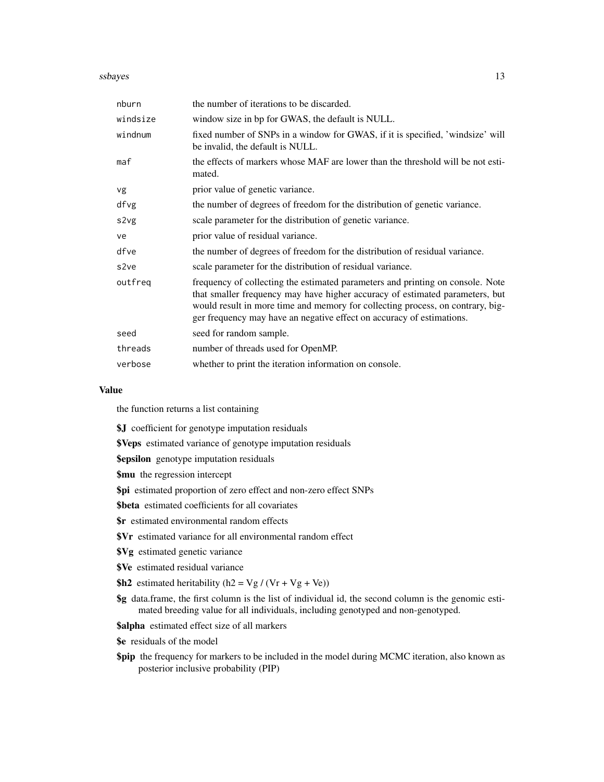#### $\mathbf{s}$ sbayes  $\qquad \qquad$  13

| nburn    | the number of iterations to be discarded.                                                                                                                                                                                                                                                                                 |
|----------|---------------------------------------------------------------------------------------------------------------------------------------------------------------------------------------------------------------------------------------------------------------------------------------------------------------------------|
| windsize | window size in bp for GWAS, the default is NULL.                                                                                                                                                                                                                                                                          |
| windnum  | fixed number of SNPs in a window for GWAS, if it is specified, 'windsize' will<br>be invalid, the default is NULL.                                                                                                                                                                                                        |
| maf      | the effects of markers whose MAF are lower than the threshold will be not esti-<br>mated.                                                                                                                                                                                                                                 |
| vg       | prior value of genetic variance.                                                                                                                                                                                                                                                                                          |
| dfvg     | the number of degrees of freedom for the distribution of genetic variance.                                                                                                                                                                                                                                                |
| s2vg     | scale parameter for the distribution of genetic variance.                                                                                                                                                                                                                                                                 |
| ve       | prior value of residual variance.                                                                                                                                                                                                                                                                                         |
| dfve     | the number of degrees of freedom for the distribution of residual variance.                                                                                                                                                                                                                                               |
| s2ve     | scale parameter for the distribution of residual variance.                                                                                                                                                                                                                                                                |
| outfreq  | frequency of collecting the estimated parameters and printing on console. Note<br>that smaller frequency may have higher accuracy of estimated parameters, but<br>would result in more time and memory for collecting process, on contrary, big-<br>ger frequency may have an negative effect on accuracy of estimations. |
| seed     | seed for random sample.                                                                                                                                                                                                                                                                                                   |
| threads  | number of threads used for OpenMP.                                                                                                                                                                                                                                                                                        |
| verbose  | whether to print the iteration information on console.                                                                                                                                                                                                                                                                    |

#### Value

the function returns a list containing

\$J coefficient for genotype imputation residuals

\$Veps estimated variance of genotype imputation residuals

\$epsilon genotype imputation residuals

\$mu the regression intercept

\$pi estimated proportion of zero effect and non-zero effect SNPs

\$beta estimated coefficients for all covariates

\$r estimated environmental random effects

- \$Vr estimated variance for all environmental random effect
- \$Vg estimated genetic variance

\$Ve estimated residual variance

\$h2 estimated heritability (h2 =  $Vg / (Vr + Vg + Ve)$ )

\$g data.frame, the first column is the list of individual id, the second column is the genomic estimated breeding value for all individuals, including genotyped and non-genotyped.

\$alpha estimated effect size of all markers

\$e residuals of the model

\$pip the frequency for markers to be included in the model during MCMC iteration, also known as posterior inclusive probability (PIP)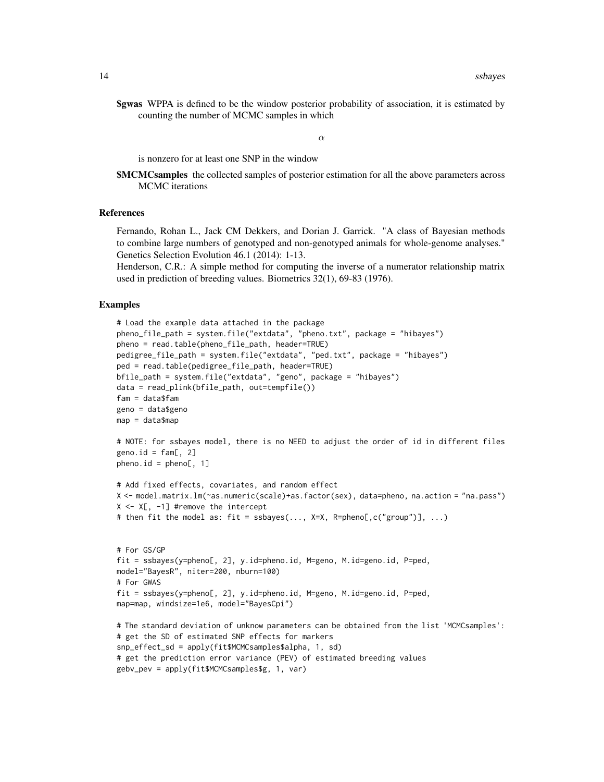\$gwas WPPA is defined to be the window posterior probability of association, it is estimated by counting the number of MCMC samples in which

α

is nonzero for at least one SNP in the window

**\$MCMCsamples** the collected samples of posterior estimation for all the above parameters across MCMC iterations

#### References

Fernando, Rohan L., Jack CM Dekkers, and Dorian J. Garrick. "A class of Bayesian methods to combine large numbers of genotyped and non-genotyped animals for whole-genome analyses." Genetics Selection Evolution 46.1 (2014): 1-13.

Henderson, C.R.: A simple method for computing the inverse of a numerator relationship matrix used in prediction of breeding values. Biometrics 32(1), 69-83 (1976).

#### Examples

```
# Load the example data attached in the package
pheno_file_path = system.file("extdata", "pheno.txt", package = "hibayes")
pheno = read.table(pheno_file_path, header=TRUE)
pedigree_file_path = system.file("extdata", "ped.txt", package = "hibayes")
ped = read.table(pedigree_file_path, header=TRUE)
bfile_path = system.file("extdata", "geno", package = "hibayes")
data = read_plink(bfile_path, out=tempfile())
fam = data$fam
geno = data$geno
map = data$map
# NOTE: for ssbayes model, there is no NEED to adjust the order of id in different files
geno.id = fam[, 2]pheno.id = pheno[, 1]
# Add fixed effects, covariates, and random effect
X <- model.matrix.lm(~as.numeric(scale)+as.factor(sex), data=pheno, na.action = "na.pass")
X \le -X[, -1] #remove the intercept
# then fit the model as: fit = ssbayes(..., X=X, R=pheno[,c("group")], ...)
# For GS/GP
fit = ssbayes(y=pheno[, 2], y.id=pheno.id, M=geno, M.id=geno.id, P=ped,
model="BayesR", niter=200, nburn=100)
# For GWAS
fit = ssbayes(y=pheno[, 2], y.id=pheno.id, M=geno, M.id=geno.id, P=ped,
map=map, windsize=1e6, model="BayesCpi")
```

```
# The standard deviation of unknow parameters can be obtained from the list 'MCMCsamples':
# get the SD of estimated SNP effects for markers
snp_effect_sd = apply(fit$MCMCsamples$alpha, 1, sd)
# get the prediction error variance (PEV) of estimated breeding values
gebv_pev = apply(fit$MCMCsamples$g, 1, var)
```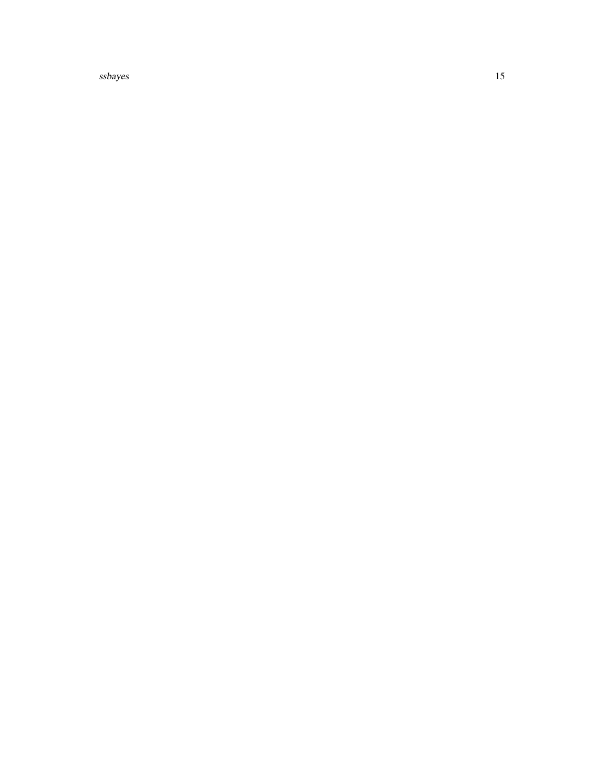$\mathbf{s}$ sbayes  $\mathbf{s}$